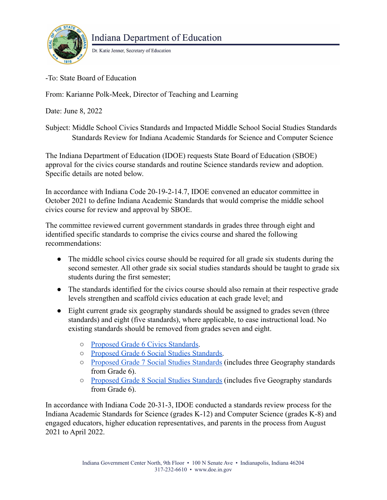

## **Indiana Department of Education**

Dr. Katie Jenner, Secretary of Education

-To: State Board of Education

From: Karianne Polk-Meek, Director of Teaching and Learning

Date: June 8, 2022

Subject: Middle School Civics Standards and Impacted Middle School Social Studies Standards Standards Review for Indiana Academic Standards for Science and Computer Science

The Indiana Department of Education (IDOE) requests State Board of Education (SBOE) approval for the civics course standards and routine Science standards review and adoption. Specific details are noted below.

In accordance with Indiana Code 20-19-2-14.7, IDOE convened an educator committee in October 2021 to define Indiana Academic Standards that would comprise the middle school civics course for review and approval by SBOE.

The committee reviewed current government standards in grades three through eight and identified specific standards to comprise the civics course and shared the following recommendations:

- The middle school civics course should be required for all grade six students during the second semester. All other grade six social studies standards should be taught to grade six students during the first semester;
- The standards identified for the civics course should also remain at their respective grade levels strengthen and scaffold civics education at each grade level; and
- Eight current grade six geography standards should be assigned to grades seven (three standards) and eight (five standards), where applicable, to ease instructional load. No existing standards should be removed from grades seven and eight.
	- [Proposed Grade 6 Civics Standards.](https://media.doe.in.gov/news/proposed-grade-6-civics-standards.pdf)
	- [Proposed Grade 6 Social Studies Standards.](https://media.doe.in.gov/news/proposed-grade-6-social-studies-standards.pdf)
	- [Proposed Grade 7 Social Studies Standards](https://media.doe.in.gov/news/proposed-grade-7-social-studies-standards.pdf) (includes three Geography standards from Grade 6).
	- [Proposed Grade 8 Social Studies Standards](https://media.doe.in.gov/news/proposed-grade-8-social-studies-standards.pdf) (includes five Geography standards from Grade 6).

In accordance with Indiana Code 20-31-3, IDOE conducted a standards review process for the Indiana Academic Standards for Science (grades K-12) and Computer Science (grades K-8) and engaged educators, higher education representatives, and parents in the process from August 2021 to April 2022.